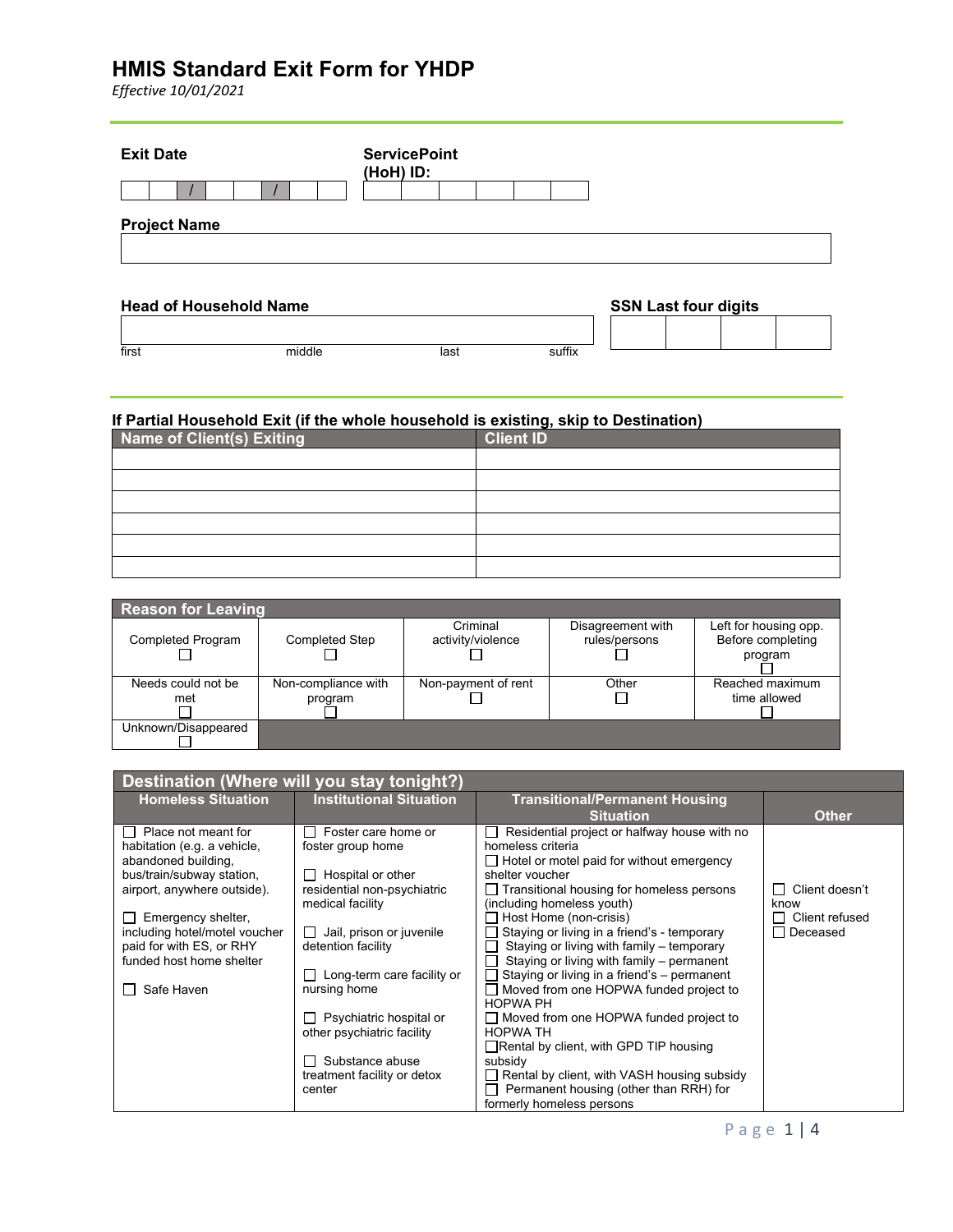*Effective 10/01/2021*

| <b>Exit Date</b>              | <b>ServicePoint</b><br>(HoH) ID: |  |                             |
|-------------------------------|----------------------------------|--|-----------------------------|
|                               |                                  |  |                             |
| <b>Project Name</b>           |                                  |  |                             |
| <b>Head of Household Name</b> |                                  |  | <b>SSN Last four digits</b> |

#### **If Partial Household Exit (if the whole household is existing, skip to Destination)**

first middle last suffix

| Name of Client(s) Exiting | <b>Client ID</b> |
|---------------------------|------------------|
|                           |                  |
|                           |                  |
|                           |                  |
|                           |                  |
|                           |                  |
|                           |                  |

| <b>Reason for Leaving</b> |                       |                     |                   |                       |
|---------------------------|-----------------------|---------------------|-------------------|-----------------------|
|                           |                       | Criminal            | Disagreement with | Left for housing opp. |
| <b>Completed Program</b>  | <b>Completed Step</b> | activity/violence   | rules/persons     | Before completing     |
|                           |                       |                     |                   | program               |
|                           |                       |                     |                   |                       |
| Needs could not be        | Non-compliance with   | Non-payment of rent | Other             | Reached maximum       |
| met                       | program               |                     |                   | time allowed          |
|                           |                       |                     |                   |                       |
| Unknown/Disappeared       |                       |                     |                   |                       |
|                           |                       |                     |                   |                       |

| Destination (Where will you stay tonight?)          |                                                       |                                                                       |                            |  |
|-----------------------------------------------------|-------------------------------------------------------|-----------------------------------------------------------------------|----------------------------|--|
| <b>Homeless Situation</b>                           | <b>Institutional Situation</b>                        | <b>Transitional/Permanent Housing</b>                                 |                            |  |
| $\Box$ Place not meant for                          | Foster care home or                                   | <b>Situation</b><br>Residential project or halfway house with no      | <b>Other</b>               |  |
| habitation (e.g. a vehicle,                         | foster group home                                     | homeless criteria                                                     |                            |  |
| abandoned building,                                 |                                                       | $\Box$ Hotel or motel paid for without emergency                      |                            |  |
| bus/train/subway station,                           | Hospital or other                                     | shelter voucher                                                       |                            |  |
| airport, anywhere outside).                         | residential non-psychiatric                           | $\Box$ Transitional housing for homeless persons                      | Client doesn't             |  |
|                                                     | medical facility                                      | (including homeless youth)                                            | know                       |  |
| Emergency shelter,<br>including hotel/motel voucher | Jail, prison or juvenile                              | Host Home (non-crisis)<br>Staying or living in a friend's - temporary | Client refused<br>Deceased |  |
| paid for with ES, or RHY                            | detention facility                                    | Staying or living with family - temporary                             |                            |  |
| funded host home shelter                            |                                                       | Staying or living with family - permanent                             |                            |  |
|                                                     | Long-term care facility or                            | Staying or living in a friend's - permanent                           |                            |  |
| Safe Haven                                          | nursing home                                          | Moved from one HOPWA funded project to                                |                            |  |
|                                                     |                                                       | <b>HOPWA PH</b>                                                       |                            |  |
|                                                     | Psychiatric hospital or<br>other psychiatric facility | □ Moved from one HOPWA funded project to<br><b>HOPWA TH</b>           |                            |  |
|                                                     |                                                       | $\Box$ Rental by client, with GPD TIP housing                         |                            |  |
|                                                     | Substance abuse                                       | subsidy                                                               |                            |  |
|                                                     | treatment facility or detox                           | Rental by client, with VASH housing subsidy                           |                            |  |
|                                                     | center                                                | Permanent housing (other than RRH) for                                |                            |  |
|                                                     |                                                       | formerly homeless persons                                             |                            |  |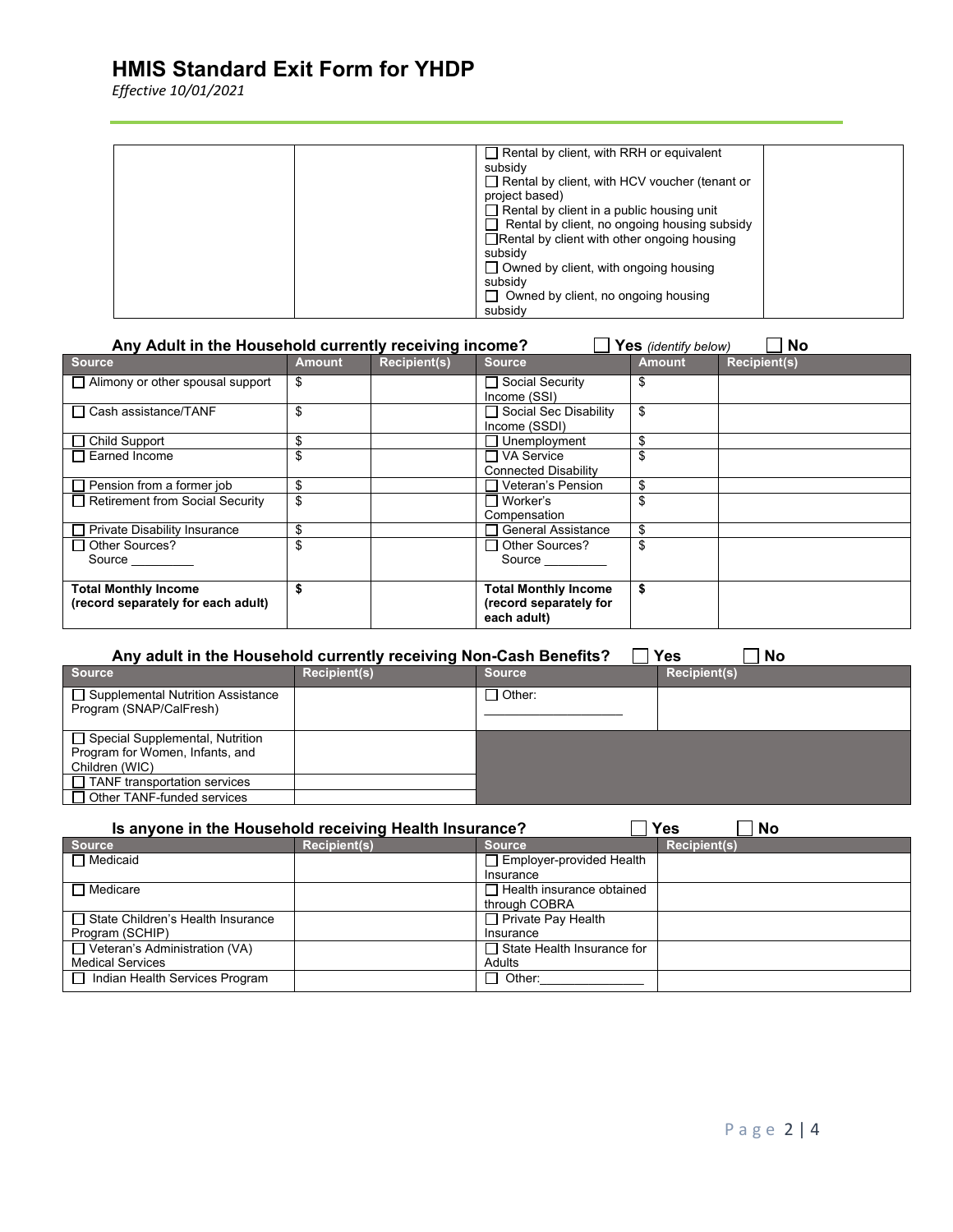*Effective 10/01/2021*

| $\Box$ Rental by client, with RRH or equivalent      |
|------------------------------------------------------|
| subsidy                                              |
| $\Box$ Rental by client, with HCV voucher (tenant or |
| project based)                                       |
| $\Box$ Rental by client in a public housing unit     |
| $\Box$ Rental by client, no ongoing housing subsidy  |
| $\Box$ Rental by client with other ongoing housing   |
| subsidy                                              |
| $\Box$ Owned by client, with ongoing housing         |
| subsidy                                              |
| $\Box$ Owned by client, no ongoing housing           |
| subsidy                                              |

| Any Adult in the Household currently receiving income?<br><b>No</b><br>Yes (identify below) |               |                     |                                                                      |               |                     |
|---------------------------------------------------------------------------------------------|---------------|---------------------|----------------------------------------------------------------------|---------------|---------------------|
| <b>Source</b>                                                                               | <b>Amount</b> | <b>Recipient(s)</b> | <b>Source</b>                                                        | <b>Amount</b> | <b>Recipient(s)</b> |
| $\Box$ Alimony or other spousal support                                                     | \$            |                     | □ Social Security<br>Income (SSI)                                    | S             |                     |
| $\Box$ Cash assistance/TANF                                                                 | \$            |                     | □ Social Sec Disability<br>Income (SSDI)                             | \$            |                     |
| $\Box$ Child Support                                                                        | \$            |                     | Unemployment                                                         | \$            |                     |
| $\Box$ Earned Income                                                                        | \$            |                     | □ VA Service<br><b>Connected Disability</b>                          |               |                     |
| $\Box$ Pension from a former job                                                            | \$            |                     | Veteran's Pension                                                    | \$            |                     |
| Retirement from Social Security                                                             | \$            |                     | $\Box$ Worker's<br>Compensation                                      |               |                     |
| □ Private Disability Insurance                                                              | \$            |                     | <b>General Assistance</b>                                            |               |                     |
| $\Box$ Other Sources?<br>Source                                                             | \$            |                     | $\Box$ Other Sources?<br>Source                                      |               |                     |
| <b>Total Monthly Income</b><br>(record separately for each adult)                           |               |                     | <b>Total Monthly Income</b><br>(record separately for<br>each adult) |               |                     |

| Any adult in the Household currently receiving Non-Cash Benefits?<br><b>Yes</b><br>No |                     |               |                     |  |  |
|---------------------------------------------------------------------------------------|---------------------|---------------|---------------------|--|--|
| Source                                                                                | <b>Recipient(s)</b> | <b>Source</b> | <b>Recipient(s)</b> |  |  |
| □ Supplemental Nutrition Assistance<br>Program (SNAP/CalFresh)                        |                     | ] Other:      |                     |  |  |
| □ Special Supplemental, Nutrition                                                     |                     |               |                     |  |  |
| Program for Women, Infants, and                                                       |                     |               |                     |  |  |
| Children (WIC)                                                                        |                     |               |                     |  |  |
| $\Box$ TANF transportation services                                                   |                     |               |                     |  |  |
| $\Box$ Other TANF-funded services                                                     |                     |               |                     |  |  |

| <b>Yes</b><br>Is anyone in the Household receiving Health Insurance?<br><b>No</b> |                     |                                   |                     |  |
|-----------------------------------------------------------------------------------|---------------------|-----------------------------------|---------------------|--|
| <b>Source</b>                                                                     | <b>Recipient(s)</b> | <b>Source</b>                     | <b>Recipient(s)</b> |  |
| $\Box$ Medicaid                                                                   |                     | $\Box$ Employer-provided Health   |                     |  |
|                                                                                   |                     | Insurance                         |                     |  |
| $\Box$ Medicare                                                                   |                     | $\Box$ Health insurance obtained  |                     |  |
|                                                                                   |                     | through COBRA                     |                     |  |
| State Children's Health Insurance                                                 |                     | $\Box$ Private Pay Health         |                     |  |
| Program (SCHIP)                                                                   |                     | Insurance                         |                     |  |
| $\Box$ Veteran's Administration (VA)                                              |                     | $\Box$ State Health Insurance for |                     |  |
| <b>Medical Services</b>                                                           |                     | Adults                            |                     |  |
| □ Indian Health Services Program                                                  |                     | $\sqcap$ Other:                   |                     |  |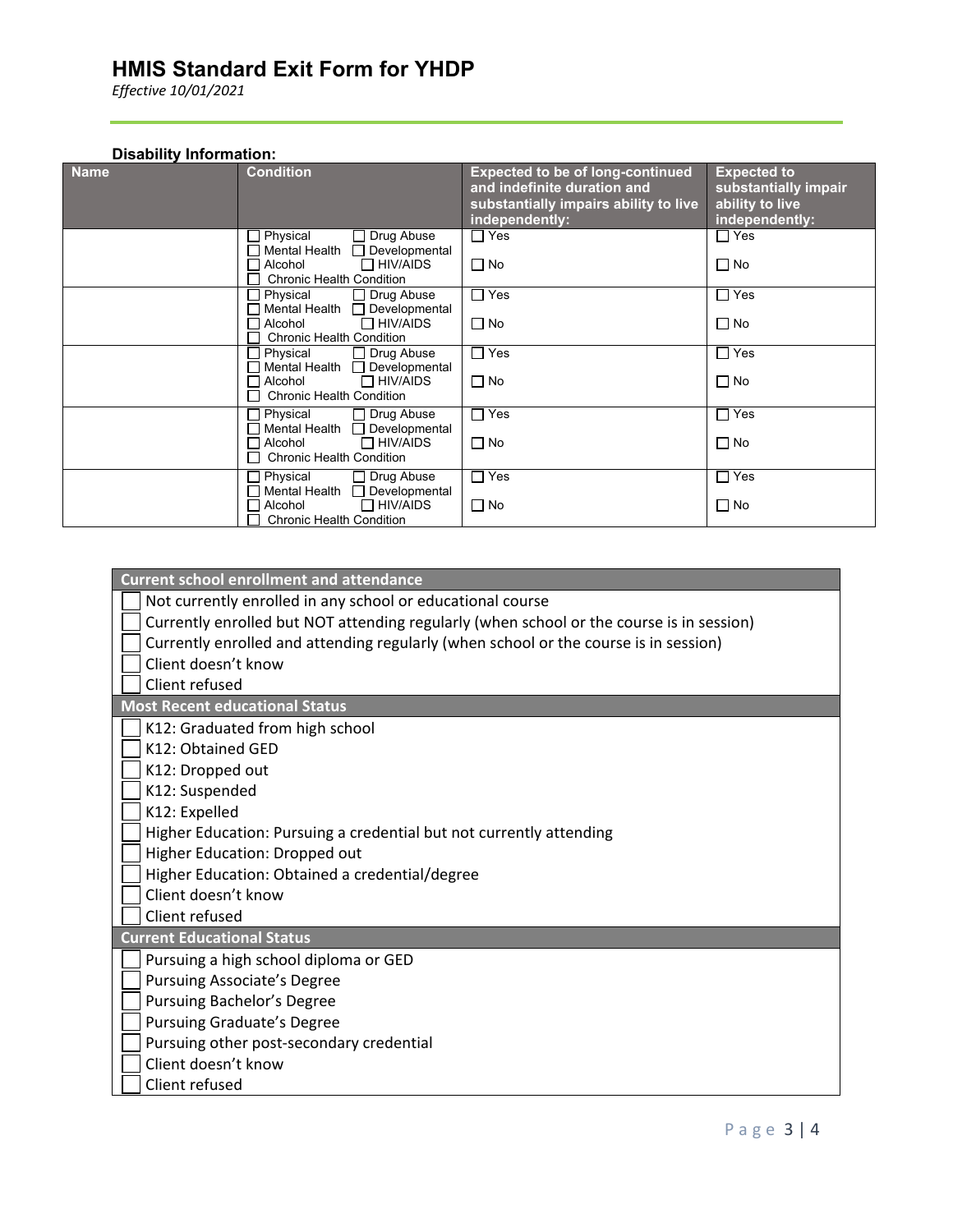*Effective 10/01/2021*

#### **Disability Information:**

| <b>Name</b> | <b>Condition</b>                                                                                                                            | <b>Expected to be of long-continued</b><br>and indefinite duration and<br>substantially impairs ability to live<br>independently: | <b>Expected to</b><br>substantially impair<br>ability to live<br>independently: |
|-------------|---------------------------------------------------------------------------------------------------------------------------------------------|-----------------------------------------------------------------------------------------------------------------------------------|---------------------------------------------------------------------------------|
|             | Drug Abuse<br>Physical<br>Mental Health<br>Developmental<br>$\Box$ HIV/AIDS<br>Alcohol<br><b>Chronic Health Condition</b>                   | $\Box$ Yes<br>$\Box$ No                                                                                                           | $\Box$ Yes<br>$\Box$ No                                                         |
|             | Physical<br>Drug Abuse<br>Mental Health<br>Developmental<br>$\Box$ HIV/AIDS<br>Alcohol<br><b>Chronic Health Condition</b>                   | $\Box$ Yes<br>$\Box$ No                                                                                                           | $\Box$ Yes<br>$\Box$ No                                                         |
|             | Physical<br>Drug Abuse<br><b>Mental Health</b><br>Developmental<br>$\Box$ HIV/AIDS<br>Alcohol<br>H<br><b>Chronic Health Condition</b>       | $\sqcap$ Yes<br>$\Box$ No                                                                                                         | $\Box$ Yes<br>$\square$ No                                                      |
|             | Physical<br>Drug Abuse<br>Mental Health<br>Developmental<br>$\Box$ HIV/AIDS<br>Alcohol<br><b>Chronic Health Condition</b>                   | $\Box$ Yes<br>$\Box$ No                                                                                                           | $\Box$ Yes<br>$\Box$ No                                                         |
|             | Physical<br>Drug Abuse<br>Mental Health<br>Developmental<br>$\Box$ HIV/AIDS<br>Alcohol<br>$\blacksquare$<br><b>Chronic Health Condition</b> | $\Box$ Yes<br>$\Box$ No                                                                                                           | $\Box$ Yes<br>$\Box$ No                                                         |

**Current school enrollment and attendance**

Not currently enrolled in any school or educational course

Currently enrolled but NOT attending regularly (when school or the course is in session)

Currently enrolled and attending regularly (when school or the course is in session)

Client doesn't know

Client refused

**Most Recent educational Status**

 $\Box$  K12: Graduated from high school

K12: Obtained GED

K12: Dropped out

K12: Suspended

K12: Expelled

 $\Box$  Higher Education: Pursuing a credential but not currently attending

Higher Education: Dropped out

Higher Education: Obtained a credential/degree

Client doesn't know

Client refused

**Current Educational Status**

- $\Box$  Pursuing a high school diploma or GED
- **Pursuing Associate's Degree**
- Pursuing Bachelor's Degree
- Pursuing Graduate's Degree
- Pursuing other post-secondary credential
- Client doesn't know
	- Client refused